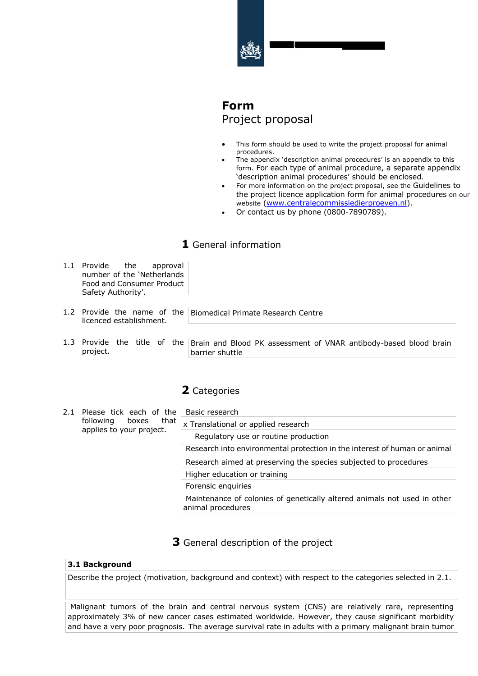

# **Form** Project proposal

- This form should be used to write the project proposal for animal procedures.
- The appendix 'description animal procedures' is an appendix to this form. For each type of animal procedure, a separate appendix 'description animal procedures' should be enclosed.
- For more information on the project proposal, see the Guidelines to the project licence application form for animal procedures on our website (www.centralecommissiedierproeven.nl).
- Or contact us by phone (0800-7890789).

# **1** General information

| 1.1 Provide the<br>approval<br>number of the 'Netherlands<br>Food and Consumer Product<br>Safety Authority'. |                                                                |
|--------------------------------------------------------------------------------------------------------------|----------------------------------------------------------------|
| licenced establishment.                                                                                      | 1.2 Provide the name of the Biomedical Primate Research Centre |

1.3 Provide the title of the Brain and Blood PK assessment of VNAR antibody-based blood brain project. barrier shuttle

## **2** Categories

| 2.1 | Please tick each of the<br>that<br>following<br>boxes<br>applies to your project. | Basic research                                                                                |
|-----|-----------------------------------------------------------------------------------|-----------------------------------------------------------------------------------------------|
|     |                                                                                   | x Translational or applied research                                                           |
|     |                                                                                   | Regulatory use or routine production                                                          |
|     |                                                                                   | Research into environmental protection in the interest of human or animal                     |
|     |                                                                                   | Research aimed at preserving the species subjected to procedures                              |
|     |                                                                                   | Higher education or training                                                                  |
|     |                                                                                   | Forensic enquiries                                                                            |
|     |                                                                                   | Maintenance of colonies of genetically altered animals not used in other<br>animal procedures |
|     |                                                                                   |                                                                                               |

**3** General description of the project

### **3.1 Background**

Describe the project (motivation, background and context) with respect to the categories selected in 2.1.

Malignant tumors of the brain and central nervous system (CNS) are relatively rare, representing approximately 3% of new cancer cases estimated worldwide. However, they cause significant morbidity and have a very poor prognosis. The average survival rate in adults with a primary malignant brain tumor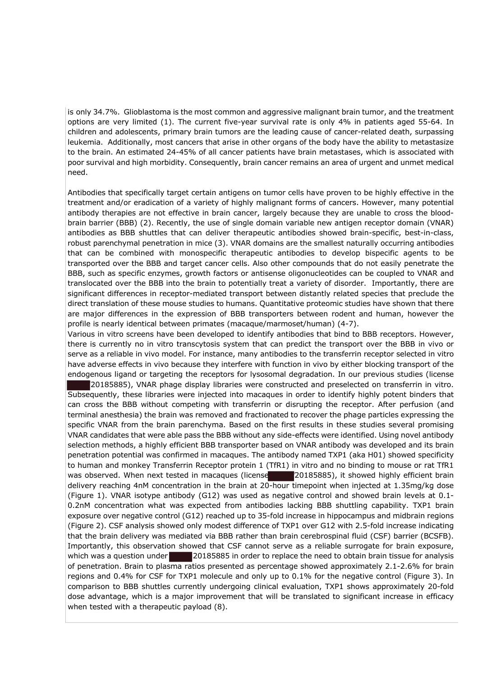is only 34.7%. Glioblastoma is the most common and aggressive malignant brain tumor, and the treatment options are very limited (1). The current five-year survival rate is only 4% in patients aged 55-64. In children and adolescents, primary brain tumors are the leading cause of cancer-related death, surpassing leukemia. Additionally, most cancers that arise in other organs of the body have the ability to metastasize to the brain. An estimated 24-45% of all cancer patients have brain metastases, which is associated with poor survival and high morbidity. Consequently, brain cancer remains an area of urgent and unmet medical need.

Antibodies that specifically target certain antigens on tumor cells have proven to be highly effective in the treatment and/or eradication of a variety of highly malignant forms of cancers. However, many potential antibody therapies are not effective in brain cancer, largely because they are unable to cross the bloodbrain barrier (BBB) (2). Recently, the use of single domain variable new antigen receptor domain (VNAR) antibodies as BBB shuttles that can deliver therapeutic antibodies showed brain-specific, best-in-class, robust parenchymal penetration in mice (3). VNAR domains are the smallest naturally occurring antibodies that can be combined with monospecific therapeutic antibodies to develop bispecific agents to be transported over the BBB and target cancer cells. Also other compounds that do not easily penetrate the BBB, such as specific enzymes, growth factors or antisense oligonucleotides can be coupled to VNAR and translocated over the BBB into the brain to potentially treat a variety of disorder. Importantly, there are significant differences in receptor-mediated transport between distantly related species that preclude the direct translation of these mouse studies to humans. Quantitative proteomic studies have shown that there are major differences in the expression of BBB transporters between rodent and human, however the profile is nearly identical between primates (macaque/marmoset/human) (4-7).

Various in vitro screens have been developed to identify antibodies that bind to BBB receptors. However, there is currently no in vitro transcytosis system that can predict the transport over the BBB in vivo or serve as a reliable in vivo model. For instance, many antibodies to the transferrin receptor selected in vitro have adverse effects in vivo because they interfere with function in vivo by either blocking transport of the endogenous ligand or targeting the receptors for lysosomal degradation. In our previous studies (license

20185885), VNAR phage display libraries were constructed and preselected on transferrin in vitro. Subsequently, these libraries were injected into macaques in order to identify highly potent binders that can cross the BBB without competing with transferrin or disrupting the receptor. After perfusion (and terminal anesthesia) the brain was removed and fractionated to recover the phage particles expressing the specific VNAR from the brain parenchyma. Based on the first results in these studies several promising VNAR candidates that were able pass the BBB without any side-effects were identified. Using novel antibody selection methods, a highly efficient BBB transporter based on VNAR antibody was developed and its brain penetration potential was confirmed in macaques. The antibody named TXP1 (aka H01) showed specificity to human and monkey Transferrin Receptor protein 1 (TfR1) in vitro and no binding to mouse or rat TfR1 was observed. When next tested in macaques (license 20185885), it showed highly efficient brain delivery reaching 4nM concentration in the brain at 20-hour timepoint when injected at 1.35mg/kg dose (Figure 1). VNAR isotype antibody (G12) was used as negative control and showed brain levels at 0.1- 0.2nM concentration what was expected from antibodies lacking BBB shuttling capability. TXP1 brain exposure over negative control (G12) reached up to 35-fold increase in hippocampus and midbrain regions (Figure 2). CSF analysis showed only modest difference of TXP1 over G12 with 2.5-fold increase indicating that the brain delivery was mediated via BBB rather than brain cerebrospinal fluid (CSF) barrier (BCSFB). Importantly, this observation showed that CSF cannot serve as a reliable surrogate for brain exposure, which was a question under 20185885 in order to replace the need to obtain brain tissue for analysis of penetration. Brain to plasma ratios presented as percentage showed approximately 2.1-2.6% for brain regions and 0.4% for CSF for TXP1 molecule and only up to 0.1% for the negative control (Figure 3). In comparison to BBB shuttles currently undergoing clinical evaluation, TXP1 shows approximately 20-fold dose advantage, which is a major improvement that will be translated to significant increase in efficacy when tested with a therapeutic payload (8). 20185885), VNAR phage display libraries were constructubs<br>equently, these libraries were injected into macaques in<br>an cross the BBB without competing with transferrin or dis<br>rrminal anesthesia) the brain was removed and fr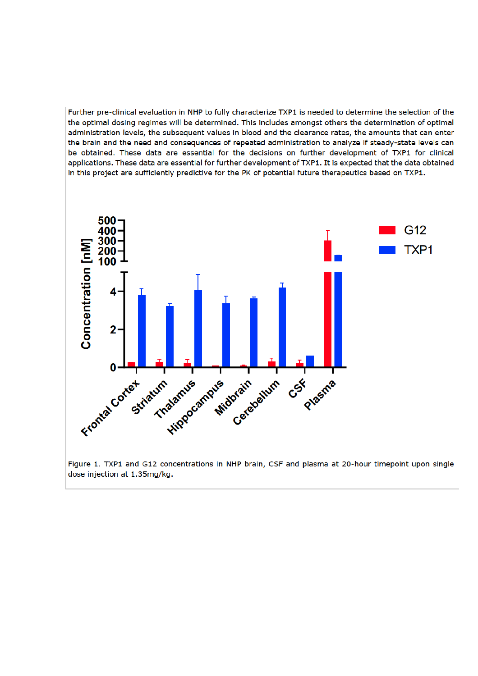Further pre-clinical evaluation in NHP to fully characterize TXP1 is needed to determine the selection of the the optimal dosing regimes will be determined. This includes amongst others the determination of optimal administration levels, the subsequent values in blood and the clearance rates, the amounts that can enter the brain and the need and consequences of repeated administration to analyze if steady-state levels can be obtained. These data are essential for the decisions on further development of TXP1 for clinical applications. These data are essential for further development of TXP1. It is expected that the data obtained in this project are sufficiently predictive for the PK of potential future therapeutics based on TXP1.



Figure 1. TXP1 and G12 concentrations in NHP brain, CSF and plasma at 20-hour timepoint upon single dose injection at 1.35mg/kg.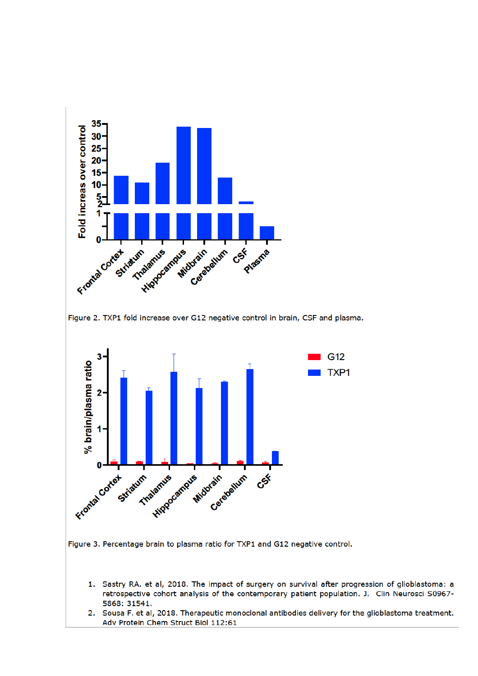





- 1. Sastry RA. et al, 2018. The impact of surgery on survival after progression of glioblastoma: a retrospective cohort analysis of the contemporary patient population. J. Clin Neurosci S0967-5868: 31541.
- 2. Sousa F. et al, 2018. Therapeutic monoclonal antibodies delivery for the glioblastoma treatment. Adv Protein Chem Struct Biol 112:61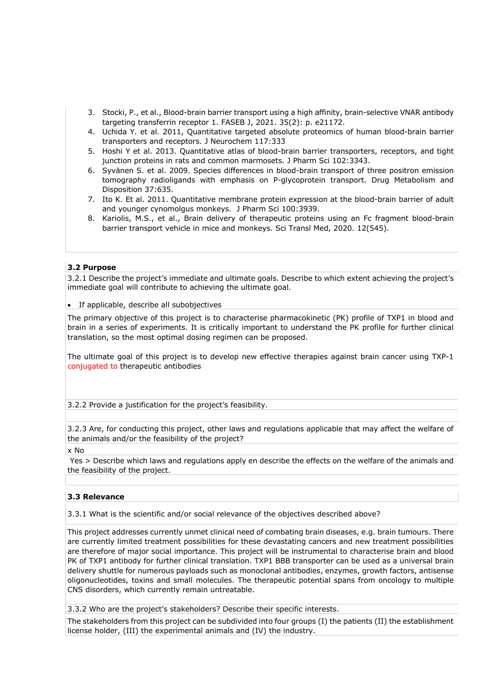- 3. Stocki, P., et al., Blood-brain barrier transport using a high affinity, brain-selective VNAR antibody targeting transferrin receptor 1. FASEB J, 2021. 35(2): p. e21172.
- 4. Uchida Y. et al. 2011, Quantitative targeted absolute proteomics of human blood-brain barrier transporters and receptors. J Neurochem 117:333
- 5. Hoshi Y et al. 2013. Quantitative atlas of blood-brain barrier transporters, receptors, and tight junction proteins in rats and common marmosets. J Pharm Sci 102:3343.
- 6. Syvänen S. et al. 2009. Species differences in blood-brain transport of three positron emission tomography radioligands with emphasis on P-glycoprotein transport. Drug Metabolism and Disposition 37:635.
- 7. Ito K. Et al. 2011. Quantitative membrane protein expression at the blood-brain barrier of adult and younger cynomolgus monkeys. J Pharm Sci 100:3939.
- 8. Kariolis, M.S., et al., Brain delivery of therapeutic proteins using an Fc fragment blood-brain barrier transport vehicle in mice and monkeys. Sci Transl Med, 2020. 12(545).

### **3.2 Purpose**

3.2.1 Describe the project's immediate and ultimate goals. Describe to which extent achieving the project's immediate goal will contribute to achieving the ultimate goal.

• If applicable, describe all subobjectives

The primary objective of this project is to characterise pharmacokinetic (PK) profile of TXP1 in blood and brain in a series of experiments. It is critically important to understand the PK profile for further clinical translation, so the most optimal dosing regimen can be proposed.

The ultimate goal of this project is to develop new effective therapies against brain cancer using TXP-1 conjugated to therapeutic antibodies

3.2.2 Provide a justification for the project's feasibility.

3.2.3 Are, for conducting this project, other laws and regulations applicable that may affect the welfare of the animals and/or the feasibility of the project?

x No

Yes > Describe which laws and regulations apply en describe the effects on the welfare of the animals and the feasibility of the project.

### **3.3 Relevance**

3.3.1 What is the scientific and/or social relevance of the objectives described above?

This project addresses currently unmet clinical need of combating brain diseases, e.g. brain tumours. There are currently limited treatment possibilities for these devastating cancers and new treatment possibilities are therefore of major social importance. This project will be instrumental to characterise brain and blood PK of TXP1 antibody for further clinical translation. TXP1 BBB transporter can be used as a universal brain delivery shuttle for numerous payloads such as monoclonal antibodies, enzymes, growth factors, antisense oligonucleotides, toxins and small molecules. The therapeutic potential spans from oncology to multiple CNS disorders, which currently remain untreatable.

3.3.2 Who are the project's stakeholders? Describe their specific interests.

The stakeholders from this project can be subdivided into four groups (I) the patients (II) the establishment license holder, (III) the experimental animals and (IV) the industry.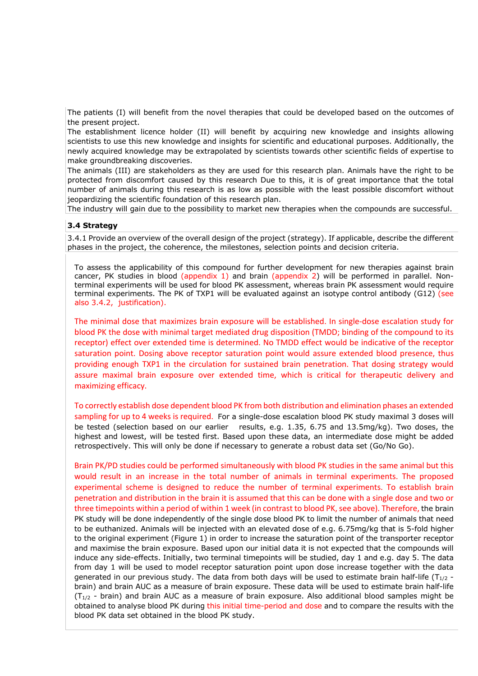The patients (I) will benefit from the novel therapies that could be developed based on the outcomes of the present project.

The establishment licence holder (II) will benefit by acquiring new knowledge and insights allowing scientists to use this new knowledge and insights for scientific and educational purposes. Additionally, the newly acquired knowledge may be extrapolated by scientists towards other scientific fields of expertise to make groundbreaking discoveries.

The animals (III) are stakeholders as they are used for this research plan. Animals have the right to be protected from discomfort caused by this research Due to this, it is of great importance that the total number of animals during this research is as low as possible with the least possible discomfort without jeopardizing the scientific foundation of this research plan.

The industry will gain due to the possibility to market new therapies when the compounds are successful.

#### **3.4 Strategy**

3.4.1 Provide an overview of the overall design of the project (strategy). If applicable, describe the different phases in the project, the coherence, the milestones, selection points and decision criteria.

To assess the applicability of this compound for further development for new therapies against brain cancer, PK studies in blood (appendix 1) and brain (appendix 2) will be performed in parallel. Nonterminal experiments will be used for blood PK assessment, whereas brain PK assessment would require terminal experiments. The PK of TXP1 will be evaluated against an isotype control antibody (G12) (see also 3.4.2, justification).

The minimal dose that maximizes brain exposure will be established. In single-dose escalation study for blood PK the dose with minimal target mediated drug disposition (TMDD; binding of the compound to its receptor) effect over extended time is determined. No TMDD effect would be indicative of the receptor saturation point. Dosing above receptor saturation point would assure extended blood presence, thus providing enough TXP1 in the circulation for sustained brain penetration. That dosing strategy would assure maximal brain exposure over extended time, which is critical for therapeutic delivery and maximizing efficacy.

To correctly establish dose dependent blood PK from both distribution and elimination phases an extended sampling for up to 4 weeks is required. For a single-dose escalation blood PK study maximal 3 doses will be tested (selection based on our earlier results, e.g. 1.35, 6.75 and 13.5mg/kg). Two doses, the highest and lowest, will be tested first. Based upon these data, an intermediate dose might be added retrospectively. This will only be done if necessary to generate a robust data set (Go/No Go).

Brain PK/PD studies could be performed simultaneously with blood PK studies in the same animal but this would result in an increase in the total number of animals in terminal experiments. The proposed experimental scheme is designed to reduce the number of terminal experiments. To establish brain penetration and distribution in the brain it is assumed that this can be done with a single dose and two or three timepoints within a period of within 1 week (in contrast to blood PK, see above). Therefore, the brain PK study will be done independently of the single dose blood PK to limit the number of animals that need to be euthanized. Animals will be injected with an elevated dose of e.g. 6.75mg/kg that is 5-fold higher to the original experiment (Figure 1) in order to increase the saturation point of the transporter receptor and maximise the brain exposure. Based upon our initial data it is not expected that the compounds will induce any side-effects. Initially, two terminal timepoints will be studied, day 1 and e.g. day 5. The data from day 1 will be used to model receptor saturation point upon dose increase together with the data generated in our previous study. The data from both days will be used to estimate brain half-life ( $T_{1/2}$  brain) and brain AUC as a measure of brain exposure. These data will be used to estimate brain half-life  $(T_{1/2}$  - brain) and brain AUC as a measure of brain exposure. Also additional blood samples might be obtained to analyse blood PK during this initial time-period and dose and to compare the results with the blood PK data set obtained in the blood PK study.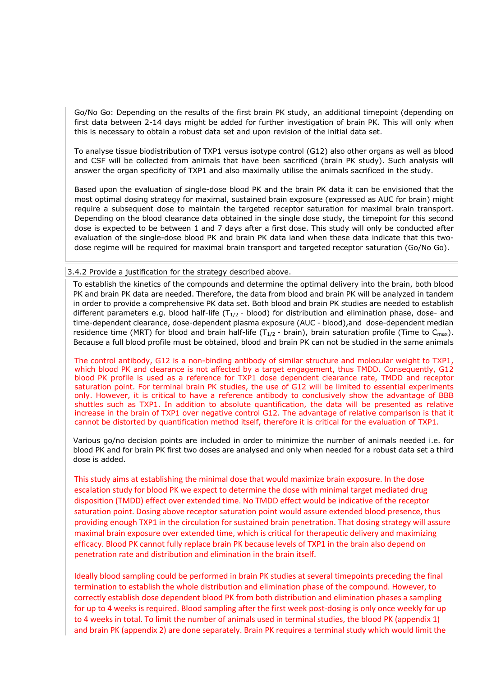Go/No Go: Depending on the results of the first brain PK study, an additional timepoint (depending on first data between 2-14 days might be added for further investigation of brain PK. This will only when this is necessary to obtain a robust data set and upon revision of the initial data set.

To analyse tissue biodistribution of TXP1 versus isotype control (G12) also other organs as well as blood and CSF will be collected from animals that have been sacrificed (brain PK study). Such analysis will answer the organ specificity of TXP1 and also maximally utilise the animals sacrificed in the study.

Based upon the evaluation of single-dose blood PK and the brain PK data it can be envisioned that the most optimal dosing strategy for maximal, sustained brain exposure (expressed as AUC for brain) might require a subsequent dose to maintain the targeted receptor saturation for maximal brain transport. Depending on the blood clearance data obtained in the single dose study, the timepoint for this second dose is expected to be between 1 and 7 days after a first dose. This study will only be conducted after evaluation of the single-dose blood PK and brain PK data iand when these data indicate that this twodose regime will be required for maximal brain transport and targeted receptor saturation (Go/No Go).

#### 3.4.2 Provide a justification for the strategy described above.

To establish the kinetics of the compounds and determine the optimal delivery into the brain, both blood PK and brain PK data are needed. Therefore, the data from blood and brain PK will be analyzed in tandem in order to provide a comprehensive PK data set. Both blood and brain PK studies are needed to establish different parameters e.g. blood half-life ( $T_{1/2}$  - blood) for distribution and elimination phase, dose- and time-dependent clearance, dose-dependent plasma exposure (AUC - blood),and dose-dependent median residence time (MRT) for blood and brain half-life (T<sub>1/2</sub> - brain), brain saturation profile (Time to C<sub>max</sub>). Because a full blood profile must be obtained, blood and brain PK can not be studied in the same animals

The control antibody, G12 is a non-binding antibody of similar structure and molecular weight to TXP1, which blood PK and clearance is not affected by a target engagement, thus TMDD. Consequently, G12 blood PK profile is used as a reference for TXP1 dose dependent clearance rate, TMDD and receptor saturation point. For terminal brain PK studies, the use of G12 will be limited to essential experiments only. However, it is critical to have a reference antibody to conclusively show the advantage of BBB shuttles such as TXP1. In addition to absolute quantification, the data will be presented as relative increase in the brain of TXP1 over negative control G12. The advantage of relative comparison is that it cannot be distorted by quantification method itself, therefore it is critical for the evaluation of TXP1.

Various go/no decision points are included in order to minimize the number of animals needed i.e. for blood PK and for brain PK first two doses are analysed and only when needed for a robust data set a third dose is added.

This study aims at establishing the minimal dose that would maximize brain exposure. In the dose escalation study for blood PK we expect to determine the dose with minimal target mediated drug disposition (TMDD) effect over extended time. No TMDD effect would be indicative of the receptor saturation point. Dosing above receptor saturation point would assure extended blood presence, thus providing enough TXP1 in the circulation for sustained brain penetration. That dosing strategy will assure maximal brain exposure over extended time, which is critical for therapeutic delivery and maximizing efficacy. Blood PK cannot fully replace brain PK because levels of TXP1 in the brain also depend on penetration rate and distribution and elimination in the brain itself.

Ideally blood sampling could be performed in brain PK studies at several timepoints preceding the final termination to establish the whole distribution and elimination phase of the compound. However, to correctly establish dose dependent blood PK from both distribution and elimination phases a sampling for up to 4 weeks is required. Blood sampling after the first week post-dosing is only once weekly for up to 4 weeks in total. To limit the number of animals used in terminal studies, the blood PK (appendix 1) and brain PK (appendix 2) are done separately. Brain PK requires a terminal study which would limit the